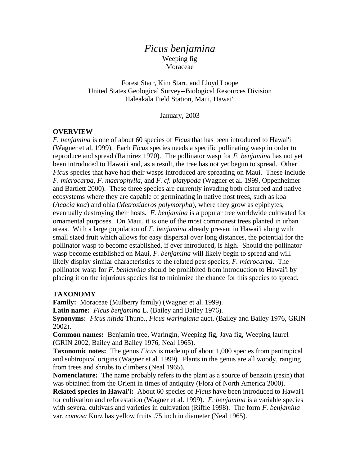# *Ficus benjamina* Weeping fig Moraceae

Forest Starr, Kim Starr, and Lloyd Loope United States Geological Survey--Biological Resources Division Haleakala Field Station, Maui, Hawai'i

January, 2003

### **OVERVIEW**

*F. benjamina* is one of about 60 species of *Ficus* that has been introduced to Hawai'i (Wagner et al. 1999). Each *Ficus* species needs a specific pollinating wasp in order to reproduce and spread (Ramirez 1970). The pollinator wasp for *F. benjamina* has not yet been introduced to Hawai'i and, as a result, the tree has not yet begun to spread. Other *Ficus* species that have had their wasps introduced are spreading on Maui. These include *F. microcarpa, F. macrophylla,* and *F. cf. platypoda* (Wagner et al. 1999, Oppenheimer and Bartlett 2000). These three species are currently invading both disturbed and native ecosystems where they are capable of germinating in native host trees, such as koa (*Acacia koa*) and ohia (*Metrosideros polymorpha*), where they grow as epiphytes, eventually destroying their hosts. *F. benjamina* is a popular tree worldwide cultivated for ornamental purposes. On Maui, it is one of the most commonest trees planted in urban areas. With a large population of *F. benjamina* already present in Hawai'i along with small sized fruit which allows for easy dispersal over long distances, the potential for the pollinator wasp to become established, if ever introduced, is high. Should the pollinator wasp become established on Maui, *F. benjamina* will likely begin to spread and will likely display similar characteristics to the related pest species, *F. microcarpa*. The pollinator wasp for *F. benjamina* should be prohibited from introduction to Hawai'i by placing it on the injurious species list to minimize the chance for this species to spread.

### **TAXONOMY**

**Family:** Moraceae (Mulberry family) (Wagner et al. 1999).

**Latin name:** *Ficus benjamina* L. (Bailey and Bailey 1976).

**Synonyms:** *Ficus nitida* Thunb., *Ficus waringiana* auct. (Bailey and Bailey 1976, GRIN 2002).

**Common names:** Benjamin tree, Waringin, Weeping fig, Java fig, Weeping laurel (GRIN 2002, Bailey and Bailey 1976, Neal 1965).

**Taxonomic notes:** The genus *Ficus* is made up of about 1,000 species from pantropical and subtropical origins (Wagner et al. 1999). Plants in the genus are all woody, ranging from trees and shrubs to climbers (Neal 1965).

**Nomenclature:** The name probably refers to the plant as a source of benzoin (resin) that was obtained from the Orient in times of antiquity (Flora of North America 2000).

**Related species in Hawai'i:** About 60 species of *Ficus* have been introduced to Hawai'i for cultivation and reforestation (Wagner et al. 1999). *F. benjamina* is a variable species with several cultivars and varieties in cultivation (Riffle 1998). The form *F. benjamina* var. *comosa* Kurz has yellow fruits .75 inch in diameter (Neal 1965).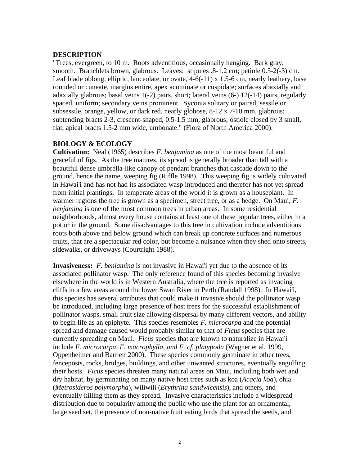### **DESCRIPTION**

"Trees, evergreen, to 10 m. Roots adventitious, occasionally hanging. Bark gray, smooth. Branchlets brown, glabrous. Leaves: stipules .8-1.2 cm; petiole 0.5-2(-3) cm. Leaf blade oblong, elliptic, lanceolate, or ovate, 4-6(-11) x 1.5-6 cm, nearly leathery, base rounded or cuneate, margins entire, apex acuminate or cuspidate; surfaces abaxially and adaxially glabrous; basal veins  $1(-2)$  pairs, short; lateral veins  $(6-)$   $12(-14)$  pairs, regularly spaced, uniform; secondary veins prominent. Syconia solitary or paired, sessile or subsessile, orange, yellow, or dark red, nearly globose, 8-12 x 7-10 mm, glabrous; subtending bracts 2-3, crescent-shaped, 0.5-1.5 mm, glabrous; ostiole closed by 3 small, flat, apical bracts 1.5-2 mm wide, umbonate." (Flora of North America 2000).

# **BIOLOGY & ECOLOGY**

**Cultivation:** Neal (1965) describes *F. benjamina* as one of the most beautiful and graceful of figs. As the tree matures, its spread is generally broader than tall with a beautiful dense umbrella-like canopy of pendant branches that cascade down to the ground, hence the name, weeping fig (Riffle 1998). This weeping fig is widely cultivated in Hawai'i and has not had its associated wasp introduced and therefor has not yet spread from initial plantings. In temperate areas of the world it is grown as a houseplant. In warmer regions the tree is grown as a specimen, street tree, or as a hedge. On Maui, *F. benjamina* is one of the most common trees in urban areas. In some residential neighborhoods, almost every house contains at least one of these popular trees, either in a pot or in the ground. Some disadvantages to this tree in cultivation include adventitious roots both above and below ground which can break up concrete surfaces and numerous fruits, that are a spectacular red color, but become a nuisance when they shed onto streets, sidewalks, or driveways (Courtright 1988).

**Invasiveness:** *F. benjamina* is not invasive in Hawai'i yet due to the absence of its associated pollinator wasp. The only reference found of this species becoming invasive elsewhere in the world is in Western Australia, where the tree is reported as invading cliffs in a few areas around the lower Swan River in Perth (Randall 1998). In Hawai'i, this species has several attributes that could make it invasive should the pollinator wasp be introduced, including large presence of host trees for the successful establishment of pollinator wasps, small fruit size allowing dispersal by many different vectors, and ability to begin life as an epiphyte. This species resembles *F. microcarpa* and the potential spread and damage caused would probably similar to that of *Ficus* species that are currently spreading on Maui. *Ficus* species that are known to naturalize in Hawai'i include *F. microcarpa, F. macrophylla, and F. cf. platypoda* (Wagner et al. 1999, Oppenheimer and Bartlett 2000). These species commonly germinate in other trees, fenceposts, rocks, bridges, buildings, and other unwanted structures, eventually engulfing their hosts. *Ficus* species threaten many natural areas on Maui, including both wet and dry habitat, by germinating on many native host trees such as koa (*Acacia koa*), ohia (*Metrosideros polymorpha*), wiliwili (*Erythrina sandwicensis*), and others, and eventually killing them as they spread. Invasive characteristics include a widespread distribution due to popularity among the public who use the plant for an ornamental, large seed set, the presence of non-native fruit eating birds that spread the seeds, and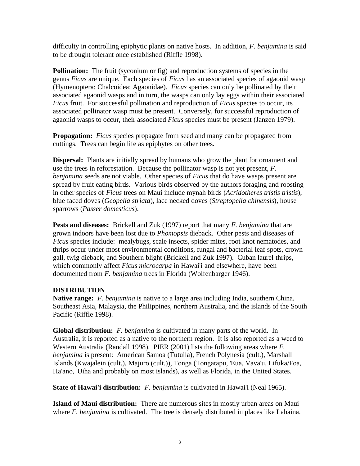difficulty in controlling epiphytic plants on native hosts. In addition, *F. benjamina* is said to be drought tolerant once established (Riffle 1998).

**Pollination:** The fruit (syconium or fig) and reproduction systems of species in the genus *Ficus* are unique. Each species of *Ficus* has an associated species of agaonid wasp (Hymenoptera: Chalcoidea: Agaonidae). *Ficus* species can only be pollinated by their associated agaonid wasps and in turn, the wasps can only lay eggs within their associated *Ficus* fruit. For successful pollination and reproduction of *Ficus* species to occur, its associated pollinator wasp must be present. Conversely, for successful reproduction of agaonid wasps to occur, their associated *Ficus* species must be present (Janzen 1979).

**Propagation:** *Ficus* species propagate from seed and many can be propagated from cuttings. Trees can begin life as epiphytes on other trees.

**Dispersal:** Plants are initially spread by humans who grow the plant for ornament and use the trees in reforestation. Because the pollinator wasp is not yet present, *F. benjamina* seeds are not viable. Other species of *Ficus* that do have wasps present are spread by fruit eating birds. Various birds observed by the authors foraging and roosting in other species of *Ficus* trees on Maui include mynah birds (*Acridotheres tristis tristis*), blue faced doves (*Geopelia striata*), lace necked doves (*Streptopelia chinensis*), house sparrows (*Passer domesticus*).

**Pests and diseases:** Brickell and Zuk (1997) report that many *F. benjamina* that are grown indoors have been lost due to *Phomopsis* dieback. Other pests and diseases of *Ficus* species include: mealybugs, scale insects, spider mites, root knot nematodes, and thrips occur under most environmental conditions, fungal and bacterial leaf spots, crown gall, twig dieback, and Southern blight (Brickell and Zuk 1997). Cuban laurel thrips, which commonly affect *Ficus microcarpa* in Hawai'i and elsewhere, have been documented from *F. benjamina* trees in Florida (Wolfenbarger 1946).

## **DISTRIBUTION**

**Native range:** *F. benjamina* is native to a large area including India, southern China, Southeast Asia, Malaysia, the Philippines, northern Australia, and the islands of the South Pacific (Riffle 1998).

**Global distribution:** *F. benjamina* is cultivated in many parts of the world. In Australia, it is reported as a native to the northern region. It is also reported as a weed to Western Australia (Randall 1998). PIER (2001) lists the following areas where *F. benjamina* is present: American Samoa (Tutuila), French Polynesia (cult.), Marshall Islands (Kwajalein (cult.), Majuro (cult.)), Tonga (Tongatapu, 'Eua, Vava'u, Lifuka/Foa, Ha'ano, 'Uiha and probably on most islands), as well as Florida, in the United States.

**State of Hawai'i distribution:** *F. benjamina* is cultivated in Hawai'i (Neal 1965).

**Island of Maui distribution:** There are numerous sites in mostly urban areas on Maui where *F. benjamina* is cultivated. The tree is densely distributed in places like Lahaina,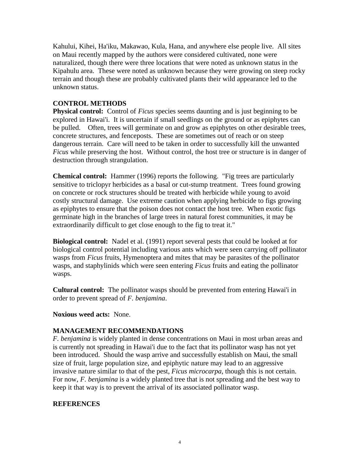Kahului, Kihei, Ha'iku, Makawao, Kula, Hana, and anywhere else people live. All sites on Maui recently mapped by the authors were considered cultivated, none were naturalized, though there were three locations that were noted as unknown status in the Kipahulu area. These were noted as unknown because they were growing on steep rocky terrain and though these are probably cultivated plants their wild appearance led to the unknown status.

# **CONTROL METHODS**

**Physical control:** Control of *Ficus* species seems daunting and is just beginning to be explored in Hawai'i. It is uncertain if small seedlings on the ground or as epiphytes can be pulled. Often, trees will germinate on and grow as epiphytes on other desirable trees, concrete structures, and fenceposts. These are sometimes out of reach or on steep dangerous terrain. Care will need to be taken in order to successfully kill the unwanted *Ficus* while preserving the host. Without control, the host tree or structure is in danger of destruction through strangulation.

**Chemical control:** Hammer (1996) reports the following. "Fig trees are particularly sensitive to triclopyr herbicides as a basal or cut-stump treatment. Trees found growing on concrete or rock structures should be treated with herbicide while young to avoid costly structural damage. Use extreme caution when applying herbicide to figs growing as epiphytes to ensure that the poison does not contact the host tree. When exotic figs germinate high in the branches of large trees in natural forest communities, it may be extraordinarily difficult to get close enough to the fig to treat it."

**Biological control:** Nadel et al. (1991) report several pests that could be looked at for biological control potential including various ants which were seen carrying off pollinator wasps from *Ficus* fruits, Hymenoptera and mites that may be parasites of the pollinator wasps, and staphylinids which were seen entering *Ficus* fruits and eating the pollinator wasps.

**Cultural control:** The pollinator wasps should be prevented from entering Hawai'i in order to prevent spread of *F. benjamina*.

**Noxious weed acts:** None.

## **MANAGEMENT RECOMMENDATIONS**

*F. benjamina* is widely planted in dense concentrations on Maui in most urban areas and is currently not spreading in Hawai'i due to the fact that its pollinator wasp has not yet been introduced. Should the wasp arrive and successfully establish on Maui, the small size of fruit, large population size, and epiphytic nature may lead to an aggressive invasive nature similar to that of the pest, *Ficus microcarpa*, though this is not certain. For now, *F. benjamina* is a widely planted tree that is not spreading and the best way to keep it that way is to prevent the arrival of its associated pollinator wasp.

## **REFERENCES**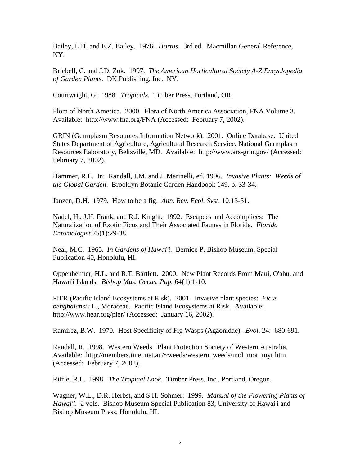Bailey, L.H. and E.Z. Bailey. 1976. *Hortus*. 3rd ed. Macmillan General Reference, NY.

Brickell, C. and J.D. Zuk. 1997. *The American Horticultural Society A-Z Encyclopedia of Garden Plants*. DK Publishing, Inc., NY.

Courtwright, G. 1988. *Tropicals*. Timber Press, Portland, OR.

Flora of North America. 2000. Flora of North America Association, FNA Volume 3. Available: http://www.fna.org/FNA (Accessed: February 7, 2002).

GRIN (Germplasm Resources Information Network)*.* 2001. Online Database. United States Department of Agriculture, Agricultural Research Service, National Germplasm Resources Laboratory, Beltsville, MD. Available: http://www.ars-grin.gov/ (Accessed: February 7, 2002).

Hammer, R.L. In: Randall, J.M. and J. Marinelli, ed. 1996. *Invasive Plants: Weeds of the Global Garden*. Brooklyn Botanic Garden Handbook 149. p. 33-34.

Janzen, D.H. 1979. How to be a fig. *Ann. Rev. Ecol. Syst*. 10:13-51.

Nadel, H., J.H. Frank, and R.J. Knight. 1992. Escapees and Accomplices: The Naturalization of Exotic Ficus and Their Associated Faunas in Florida. *Florida Entomologist* 75(1):29-38.

Neal, M.C. 1965. *In Gardens of Hawai'i*. Bernice P. Bishop Museum, Special Publication 40, Honolulu, HI.

Oppenheimer, H.L. and R.T. Bartlett. 2000. New Plant Records From Maui, O'ahu, and Hawai'i Islands. *Bishop Mus. Occas. Pap.* 64(1):1-10.

PIER (Pacific Island Ecosystems at Risk). 2001. Invasive plant species: *Ficus benghalensis* L., Moraceae. Pacific Island Ecosystems at Risk. Available: http://www.hear.org/pier/ (Accessed: January 16, 2002).

Ramirez, B.W. 1970. Host Specificity of Fig Wasps (Agaonidae). *Evol*. 24: 680-691.

Randall, R. 1998. Western Weeds. Plant Protection Society of Western Australia. Available: http://members.iinet.net.au/~weeds/western\_weeds/mol\_mor\_myr.htm (Accessed: February 7, 2002).

Riffle, R.L. 1998. *The Tropical Look*. Timber Press, Inc., Portland, Oregon.

Wagner, W.L., D.R. Herbst, and S.H. Sohmer. 1999. *Manual of the Flowering Plants of Hawai'i*. 2 vols. Bishop Museum Special Publication 83, University of Hawai'i and Bishop Museum Press, Honolulu, HI.